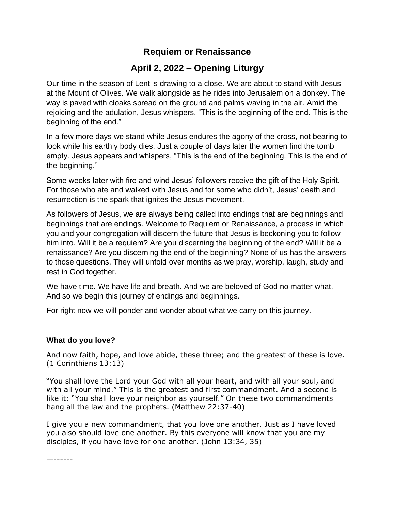# **Requiem or Renaissance**

# **April 2, 2022 – Opening Liturgy**

Our time in the season of Lent is drawing to a close. We are about to stand with Jesus at the Mount of Olives. We walk alongside as he rides into Jerusalem on a donkey. The way is paved with cloaks spread on the ground and palms waving in the air. Amid the rejoicing and the adulation, Jesus whispers, "This is the beginning of the end. This is the beginning of the end."

In a few more days we stand while Jesus endures the agony of the cross, not bearing to look while his earthly body dies. Just a couple of days later the women find the tomb empty. Jesus appears and whispers, "This is the end of the beginning. This is the end of the beginning."

Some weeks later with fire and wind Jesus' followers receive the gift of the Holy Spirit. For those who ate and walked with Jesus and for some who didn't, Jesus' death and resurrection is the spark that ignites the Jesus movement.

As followers of Jesus, we are always being called into endings that are beginnings and beginnings that are endings. Welcome to Requiem or Renaissance, a process in which you and your congregation will discern the future that Jesus is beckoning you to follow him into. Will it be a requiem? Are you discerning the beginning of the end? Will it be a renaissance? Are you discerning the end of the beginning? None of us has the answers to those questions. They will unfold over months as we pray, worship, laugh, study and rest in God together.

We have time. We have life and breath. And we are beloved of God no matter what. And so we begin this journey of endings and beginnings.

For right now we will ponder and wonder about what we carry on this journey.

# **What do you love?**

And now faith, hope, and love abide, these three; and the greatest of these is love. (1 Corinthians 13:13)

"You shall love the Lord your God with all your heart, and with all your soul, and with all your mind." This is the greatest and first commandment. And a second is like it: "You shall love your neighbor as yourself." On these two commandments hang all the law and the prophets. (Matthew 22:37-40)

I give you a new commandment, that you love one another. Just as I have loved you also should love one another. By this everyone will know that you are my disciples, if you have love for one another. (John 13:34, 35)

—------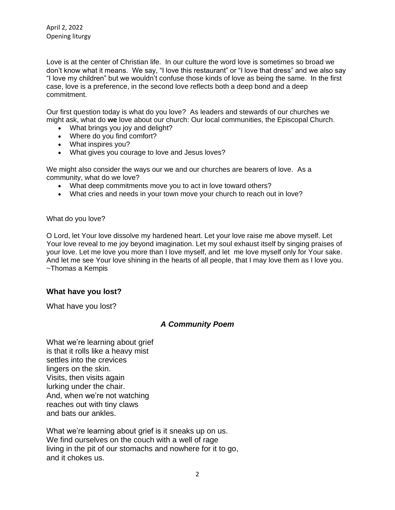Love is at the center of Christian life. In our culture the word love is sometimes so broad we don't know what it means. We say, "I love this restaurant" or "I love that dress" and we also say "I love my children" but we wouldn't confuse those kinds of love as being the same. In the first case, love is a preference, in the second love reflects both a deep bond and a deep commitment.

Our first question today is what do you love? As leaders and stewards of our churches we might ask, what do **we** love about our church: Our local communities, the Episcopal Church.

- What brings you joy and delight?
- Where do you find comfort?
- What inspires you?
- What gives you courage to love and Jesus loves?

We might also consider the ways our we and our churches are bearers of love. As a community, what do we love?

- What deep commitments move you to act in love toward others?
- What cries and needs in your town move your church to reach out in love?

What do you love?

O Lord, let Your love dissolve my hardened heart. Let your love raise me above myself. Let Your love reveal to me joy beyond imagination. Let my soul exhaust itself by singing praises of your love. Let me love you more than I love myself, and let me love myself only for Your sake. And let me see Your love shining in the hearts of all people, that I may love them as I love you. ~Thomas a Kempis

#### **What have you lost?**

What have you lost?

# *A Community Poem*

What we're learning about grief is that it rolls like a heavy mist settles into the crevices lingers on the skin. Visits, then visits again lurking under the chair. And, when we're not watching reaches out with tiny claws and bats our ankles.

What we're learning about grief is it sneaks up on us. We find ourselves on the couch with a well of rage living in the pit of our stomachs and nowhere for it to go, and it chokes us.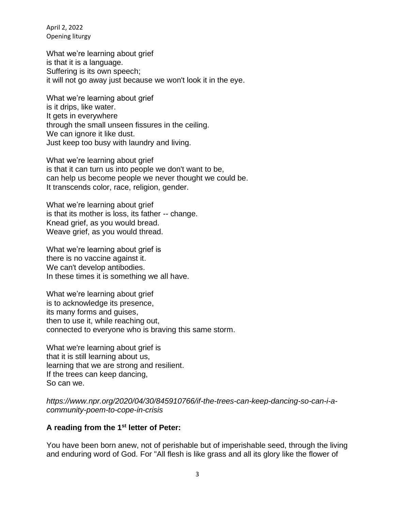What we're learning about grief is that it is a language. Suffering is its own speech; it will not go away just because we won't look it in the eye.

What we're learning about grief is it drips, like water. It gets in everywhere through the small unseen fissures in the ceiling. We can ignore it like dust. Just keep too busy with laundry and living.

What we're learning about grief is that it can turn us into people we don't want to be, can help us become people we never thought we could be. It transcends color, race, religion, gender.

What we're learning about grief is that its mother is loss, its father -- change. Knead grief, as you would bread. Weave grief, as you would thread.

What we're learning about grief is there is no vaccine against it. We can't develop antibodies. In these times it is something we all have.

What we're learning about grief is to acknowledge its presence, its many forms and guises, then to use it, while reaching out, connected to everyone who is braving this same storm.

What we're learning about grief is that it is still learning about us, learning that we are strong and resilient. If the trees can keep dancing, So can we.

*https://www.npr.org/2020/04/30/845910766/if-the-trees-can-keep-dancing-so-can-i-acommunity-poem-to-cope-in-crisis*

#### **A reading from the 1st letter of Peter:**

You have been born anew, not of perishable but of imperishable seed, through the living and enduring word of God. For "All flesh is like grass and all its glory like the flower of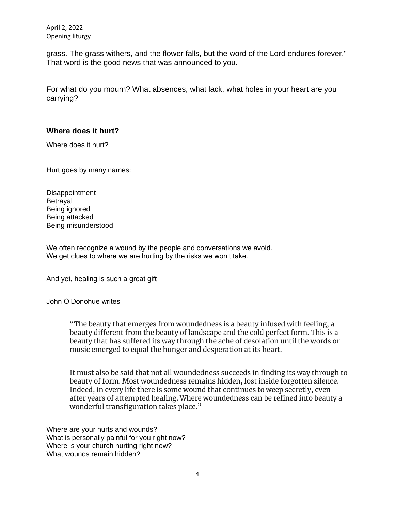grass. The grass withers, and the flower falls, but the word of the Lord endures forever." That word is the good news that was announced to you.

For what do you mourn? What absences, what lack, what holes in your heart are you carrying?

# **Where does it hurt?**

Where does it hurt?

Hurt goes by many names:

**Disappointment** Betrayal Being ignored Being attacked Being misunderstood

We often recognize a wound by the people and conversations we avoid. We get clues to where we are hurting by the risks we won't take.

And yet, healing is such a great gift

#### John O'Donohue writes

"The beauty that emerges from woundedness is a beauty infused with feeling, a beauty different from the beauty of landscape and the cold perfect form. This is a beauty that has suffered its way through the ache of desolation until the words or music emerged to equal the hunger and desperation at its heart.

It must also be said that not all woundedness succeeds in finding its way through to beauty of form. Most woundedness remains hidden, lost inside forgotten silence. Indeed, in every life there is some wound that continues to weep secretly, even after years of attempted healing. Where woundedness can be refined into beauty a wonderful transfiguration takes place."

Where are your hurts and wounds? What is personally painful for you right now? Where is your church hurting right now? What wounds remain hidden?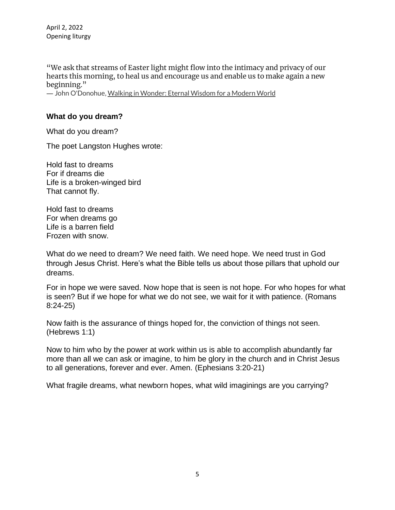"We ask that streams of Easter light might flow into the intimacy and privacy of our hearts this morning, to heal us and encourage us and enable us to make again a new beginning."

― John O'Donohue[, Walking in Wonder: Eternal Wisdom for a Modern World](https://www.goodreads.com/work/quotes/60588613)

### **What do you dream?**

What do you dream?

The poet Langston Hughes wrote:

Hold fast to dreams For if dreams die Life is a broken-winged bird That cannot fly.

Hold fast to dreams For when dreams go Life is a barren field Frozen with snow.

What do we need to dream? We need faith. We need hope. We need trust in God through Jesus Christ. Here's what the Bible tells us about those pillars that uphold our dreams.

For in hope we were saved. Now hope that is seen is not hope. For who hopes for what is seen? But if we hope for what we do not see, we wait for it with patience. (Romans 8:24-25)

Now faith is the assurance of things hoped for, the conviction of things not seen. (Hebrews 1:1)

Now to him who by the power at work within us is able to accomplish abundantly far more than all we can ask or imagine, to him be glory in the church and in Christ Jesus to all generations, forever and ever. Amen. (Ephesians 3:20-21)

What fragile dreams, what newborn hopes, what wild imaginings are you carrying?